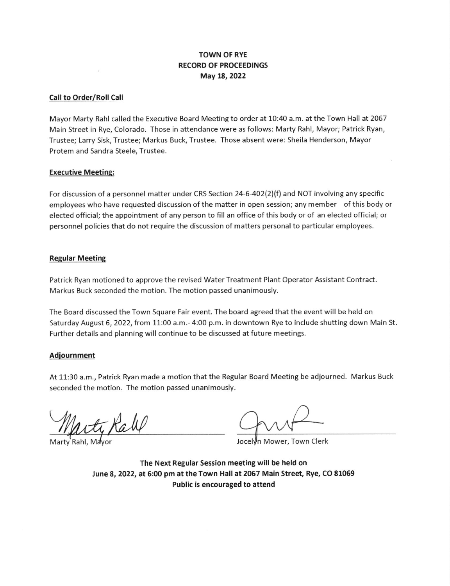# TOWN OF RYE RECORD OF PROCEEDINGS May 18,2022

## Call to Order/Roll Call

Mayor Marty Rahl called the Executive Board Meeting to order at 10:4O a.m. at the Town Hall at 2067 Main Street in Rye, Colorado. Those in attendance were as follows: Marty Rahl, Mayor; Patrick Ryan, Trustee; Larry Sisk, Trustee; Markus Buck, Trustee. Those absent were: Sheila Henderson, Mayor Protem and Sandra Steele, Trustee.

## Executive Meeting:

For discussion of a personnel matter under CRS Section 24-6402(2)(f) and NOT involving any specific employees who have requested discussion of the matter in open session; any member of this body or elected official; the appointment of any person to fill an office of this body or of an elected official; or personnel policies that do not require the discussion of matters personal to particular employees.

#### Regular Meeting

Patrick Ryan motioned to approve the revised Water Treatment Plant Operator Assistant Contract Markus Buck seconded the motion. The motion passed unanimously.

The Board discussed the Town Square Fair event. The board agreed that the event will be held on Saturday August 6, 2022, from 11:00 a.m.- 4:00 p.m. in downtown Rye to include shutting down Main St. Further details and planning will continue to be discussed at future meetings.

## Adiournment

At 11:30 a.m., Patrick Ryan made a motion that the Regular Board Meeting be adjourned. Markus Buck seconded the motion. The motion passed unanimously.

Jocelyn Mower, Town Clerk

The Next Regular Session meeting will be held on June 8, 2022, at 5:00 pm at the Town Hall at 2067 Main Street, Rye, CO 81069 Public is encouraged to attend